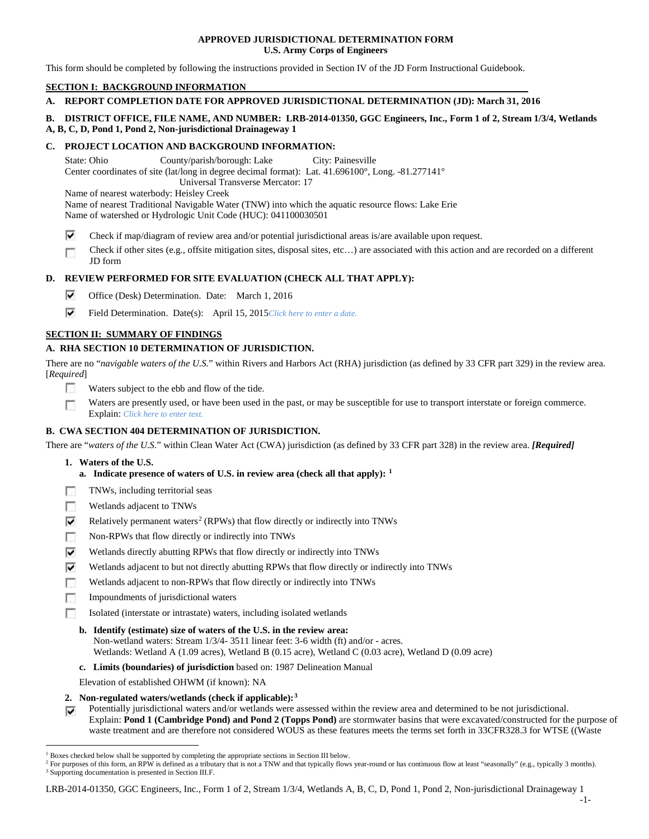### **APPROVED JURISDICTIONAL DETERMINATION FORM U.S. Army Corps of Engineers**

This form should be completed by following the instructions provided in Section IV of the JD Form Instructional Guidebook.

### **SECTION I: BACKGROUND INFORMATION**

# **A. REPORT COMPLETION DATE FOR APPROVED JURISDICTIONAL DETERMINATION (JD): March 31, 2016**

# **B. DISTRICT OFFICE, FILE NAME, AND NUMBER: LRB-2014-01350, GGC Engineers, Inc., Form 1 of 2, Stream 1/3/4, Wetlands A, B, C, D, Pond 1, Pond 2, Non-jurisdictional Drainageway 1**

### **C. PROJECT LOCATION AND BACKGROUND INFORMATION:**

State: Ohio County/parish/borough: Lake City: Painesville Center coordinates of site (lat/long in degree decimal format): Lat. 41.696100°, Long. -81.277141° Universal Transverse Mercator: 17 Name of nearest waterbody: Heisley Creek Name of nearest Traditional Navigable Water (TNW) into which the aquatic resource flows: Lake Erie

Name of watershed or Hydrologic Unit Code (HUC): 041100030501

- ⊽ Check if map/diagram of review area and/or potential jurisdictional areas is/are available upon request.
- Check if other sites (e.g., offsite mitigation sites, disposal sites, etc…) are associated with this action and are recorded on a different Г JD form

# **D. REVIEW PERFORMED FOR SITE EVALUATION (CHECK ALL THAT APPLY):**

- ⊽ Office (Desk) Determination. Date: March 1, 2016
- ⊽ Field Determination. Date(s): April 15, 2015*Click here to enter a date.*

# **SECTION II: SUMMARY OF FINDINGS**

# **A. RHA SECTION 10 DETERMINATION OF JURISDICTION.**

There are no "*navigable waters of the U.S.*" within Rivers and Harbors Act (RHA) jurisdiction (as defined by 33 CFR part 329) in the review area. [*Required*]

- **IST** Waters subject to the ebb and flow of the tide.
- Waters are presently used, or have been used in the past, or may be susceptible for use to transport interstate or foreign commerce. Г Explain: *Click here to enter text.*

# **B. CWA SECTION 404 DETERMINATION OF JURISDICTION.**

There are "*waters of the U.S.*" within Clean Water Act (CWA) jurisdiction (as defined by 33 CFR part 328) in the review area. *[Required]*

- **1. Waters of the U.S.**
	- **a. Indicate presence of waters of U.S. in review area (check all that apply): [1](#page-0-0)**
- TNWs, including territorial seas Е
- Wetlands adjacent to TNWs п
- ⊽ Relatively permanent waters<sup>[2](#page-0-1)</sup> (RPWs) that flow directly or indirectly into TNWs
- г Non-RPWs that flow directly or indirectly into TNWs
- Wetlands directly abutting RPWs that flow directly or indirectly into TNWs ⊽
- ⊽ Wetlands adjacent to but not directly abutting RPWs that flow directly or indirectly into TNWs
- Wetlands adjacent to non-RPWs that flow directly or indirectly into TNWs Е
- г Impoundments of jurisdictional waters
- Isolated (interstate or intrastate) waters, including isolated wetlands п
	- **b. Identify (estimate) size of waters of the U.S. in the review area:** Non-wetland waters: Stream 1/3/4- 3511 linear feet: 3-6 width (ft) and/or - acres. Wetlands: Wetland A (1.09 acres), Wetland B (0.15 acre), Wetland C (0.03 acre), Wetland D (0.09 acre)
	- **c. Limits (boundaries) of jurisdiction** based on: 1987 Delineation Manual
	- Elevation of established OHWM (if known): NA
- **2. Non-regulated waters/wetlands (check if applicable):[3](#page-0-2)**
- Potentially jurisdictional waters and/or wetlands were assessed within the review area and determined to be not jurisdictional. Explain: **Pond 1 (Cambridge Pond) and Pond 2 (Topps Pond)** are stormwater basins that were excavated/constructed for the purpose of waste treatment and are therefore not considered WOUS as these features meets the terms set forth in 33CFR328.3 for WTSE ((Waste

<span id="page-0-0"></span><sup>&</sup>lt;sup>1</sup> Boxes checked below shall be supported by completing the appropriate sections in Section III below.

<span id="page-0-2"></span><span id="page-0-1"></span><sup>&</sup>lt;sup>2</sup> For purposes of this form, an RPW is defined as a tributary that is not a TNW and that typically flows year-round or has continuous flow at least "seasonally" (e.g., typically 3 months). <sup>3</sup> Supporting documentation is presented in Section III.F.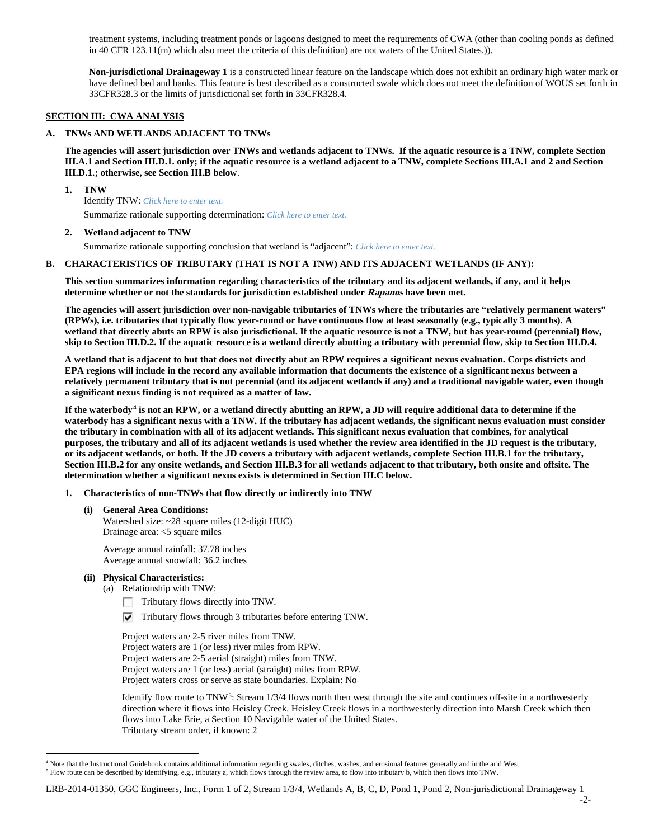treatment systems, including treatment ponds or lagoons designed to meet the requirements of CWA (other than cooling ponds as defined in 40 CFR 123.11(m) which also meet the criteria of this definition) are not waters of the United States.)).

**Non-jurisdictional Drainageway 1** is a constructed linear feature on the landscape which does not exhibit an ordinary high water mark or have defined bed and banks. This feature is best described as a constructed swale which does not meet the definition of WOUS set forth in 33CFR328.3 or the limits of jurisdictional set forth in 33CFR328.4.

### **SECTION III: CWA ANALYSIS**

#### **A. TNWs AND WETLANDS ADJACENT TO TNWs**

**The agencies will assert jurisdiction over TNWs and wetlands adjacent to TNWs. If the aquatic resource is a TNW, complete Section III.A.1 and Section III.D.1. only; if the aquatic resource is a wetland adjacent to a TNW, complete Sections III.A.1 and 2 and Section III.D.1.; otherwise, see Section III.B below**.

#### **1. TNW**

Identify TNW: *Click here to enter text.*

Summarize rationale supporting determination: *Click here to enter text.*

#### **2. Wetland adjacent to TNW**

Summarize rationale supporting conclusion that wetland is "adjacent": *Click here to enter text.*

#### **B. CHARACTERISTICS OF TRIBUTARY (THAT IS NOT A TNW) AND ITS ADJACENT WETLANDS (IF ANY):**

**This section summarizes information regarding characteristics of the tributary and its adjacent wetlands, if any, and it helps determine whether or not the standards for jurisdiction established under Rapanos have been met.** 

**The agencies will assert jurisdiction over non-navigable tributaries of TNWs where the tributaries are "relatively permanent waters" (RPWs), i.e. tributaries that typically flow year-round or have continuous flow at least seasonally (e.g., typically 3 months). A wetland that directly abuts an RPW is also jurisdictional. If the aquatic resource is not a TNW, but has year-round (perennial) flow, skip to Section III.D.2. If the aquatic resource is a wetland directly abutting a tributary with perennial flow, skip to Section III.D.4.**

**A wetland that is adjacent to but that does not directly abut an RPW requires a significant nexus evaluation. Corps districts and EPA regions will include in the record any available information that documents the existence of a significant nexus between a relatively permanent tributary that is not perennial (and its adjacent wetlands if any) and a traditional navigable water, even though a significant nexus finding is not required as a matter of law.**

**If the waterbody[4](#page-1-0) is not an RPW, or a wetland directly abutting an RPW, a JD will require additional data to determine if the waterbody has a significant nexus with a TNW. If the tributary has adjacent wetlands, the significant nexus evaluation must consider the tributary in combination with all of its adjacent wetlands. This significant nexus evaluation that combines, for analytical purposes, the tributary and all of its adjacent wetlands is used whether the review area identified in the JD request is the tributary, or its adjacent wetlands, or both. If the JD covers a tributary with adjacent wetlands, complete Section III.B.1 for the tributary, Section III.B.2 for any onsite wetlands, and Section III.B.3 for all wetlands adjacent to that tributary, both onsite and offsite. The determination whether a significant nexus exists is determined in Section III.C below.**

#### **1. Characteristics of non-TNWs that flow directly or indirectly into TNW**

**(i) General Area Conditions:** Watershed size: ~28 square miles (12-digit HUC) Drainage area: <5 square miles

Average annual rainfall: 37.78 inches Average annual snowfall: 36.2 inches

#### **(ii) Physical Characteristics:**

(a) Relationship with TNW:

- Tributary flows directly into TNW. г
- $\triangledown$  Tributary flows through 3 tributaries before entering TNW.

Project waters are 2-5 river miles from TNW. Project waters are 1 (or less) river miles from RPW. Project waters are 2-5 aerial (straight) miles from TNW. Project waters are 1 (or less) aerial (straight) miles from RPW. Project waters cross or serve as state boundaries. Explain: No

Identify flow route to TNW<sup>5</sup>: Stream  $1/3/4$  flows north then west through the site and continues off-site in a northwesterly direction where it flows into Heisley Creek. Heisley Creek flows in a northwesterly direction into Marsh Creek which then flows into Lake Erie, a Section 10 Navigable water of the United States. Tributary stream order, if known: 2

<sup>&</sup>lt;sup>4</sup> Note that the Instructional Guidebook contains additional information regarding swales, ditches, washes, and erosional features generally and in the arid West.

<span id="page-1-1"></span><span id="page-1-0"></span><sup>5</sup> Flow route can be described by identifying, e.g., tributary a, which flows through the review area, to flow into tributary b, which then flows into TNW.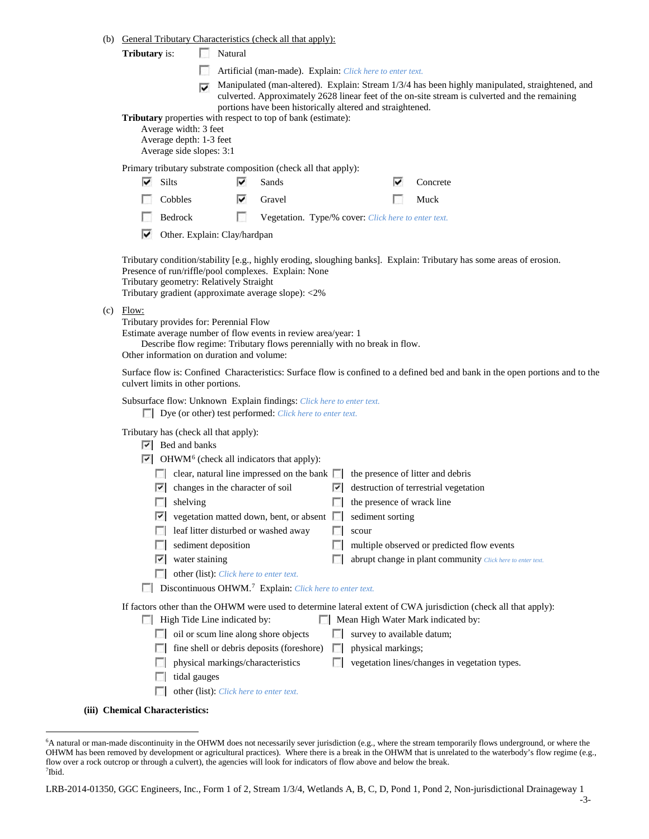- (b) General Tributary Characteristics (check all that apply):
	- **Tributary** is: Natural
		- Artificial (man-made). Explain: *Click here to enter text.*
		- Manipulated (man-altered). Explain: Stream  $1/3/4$  has been highly manipulated, straightened, and culverted. Approximately 2628 linear feet of the on-site stream is culverted and the remaining portions have been historically altered and straightened.

**Tributary** properties with respect to top of bank (estimate):

Average width: 3 feet

⊽

Average depth: 1-3 feet

Average side slopes: 3:1

Primary tributary substrate composition (check all that apply):

| <b>Silts</b> | M | Sands | Concrete<br>է |       |
|--------------|---|-------|---------------|-------|
| .            |   |       |               | $  -$ |

| Cobbles | ⊽<br>Gravel | $\Box$ Muck |
|---------|-------------|-------------|
|---------|-------------|-------------|

- $\sim$ Bedrock Vegetation. Type/% cover: *Click here to enter text.*
- ⊽ Other. Explain: Clay/hardpan

Tributary condition/stability [e.g., highly eroding, sloughing banks]. Explain: Tributary has some areas of erosion. Presence of run/riffle/pool complexes. Explain: None

Tributary geometry: Relatively Straight

Tributary gradient (approximate average slope): <2%

 $(c)$  Flow:

Tributary provides for: Perennial Flow

Estimate average number of flow events in review area/year: 1

Describe flow regime: Tributary flows perennially with no break in flow.

Other information on duration and volume:

Surface flow is: Confined Characteristics: Surface flow is confined to a defined bed and bank in the open portions and to the culvert limits in other portions.

Subsurface flow: Unknown Explain findings: *Click here to enter text.*

Dye (or other) test performed: *Click here to enter text.*

Tributary has (check all that apply):

- $|\overline{v}|$  Bed and banks
- $\triangleright$  OHWM<sup>[6](#page-2-0)</sup> (check all indicators that apply):

|    | clear, natural line impressed on the bank $\Box$ the presence of litter and debris |              |                                                                                                                  |
|----|------------------------------------------------------------------------------------|--------------|------------------------------------------------------------------------------------------------------------------|
| V. | changes in the character of soil                                                   |              | $\triangleright$ destruction of terrestrial vegetation                                                           |
|    | shelving                                                                           |              | the presence of wrack line                                                                                       |
| է  | vegetation matted down, bent, or absent                                            | $\mathbf{1}$ | sediment sorting                                                                                                 |
|    | leaf litter disturbed or washed away                                               |              | scour                                                                                                            |
|    | sediment deposition                                                                |              | multiple observed or predicted flow events                                                                       |
| է  | water staining                                                                     |              | abrupt change in plant community Click here to enter text.                                                       |
|    | other (list): Click here to enter text.                                            |              |                                                                                                                  |
|    | Discontinuous OHWM. <sup>7</sup> Explain: Click here to enter text.                |              |                                                                                                                  |
|    |                                                                                    |              | If factors other than the OHWM were used to determine lateral extent of CWA jurisdiction (check all that apply): |
|    | High Tide Line indicated by:                                                       |              | Mean High Water Mark indicated by:                                                                               |
|    |                                                                                    |              |                                                                                                                  |

| $\Box$ oil or scum line along shore objects                                | $\Box$ survey to available datum; |
|----------------------------------------------------------------------------|-----------------------------------|
| $\Box$ fine shell or debris deposits (foreshore) $\Box$ physical markings; |                                   |

- $\Box$  physical markings/characteristics  $\Box$  vegetation lines/changes in vegetation types.
- tidal gauges  $\Box$
- other (list): *Click here to enter text.*
- **(iii) Chemical Characteristics:**

<span id="page-2-1"></span><span id="page-2-0"></span> <sup>6</sup> <sup>6</sup>A natural or man-made discontinuity in the OHWM does not necessarily sever jurisdiction (e.g., where the stream temporarily flows underground, or where the OHWM has been removed by development or agricultural practices). Where there is a break in the OHWM that is unrelated to the waterbody's flow regime (e.g., flow over a rock outcrop or through a culvert), the agencies will look for indicators of flow above and below the break. 7 Ibid.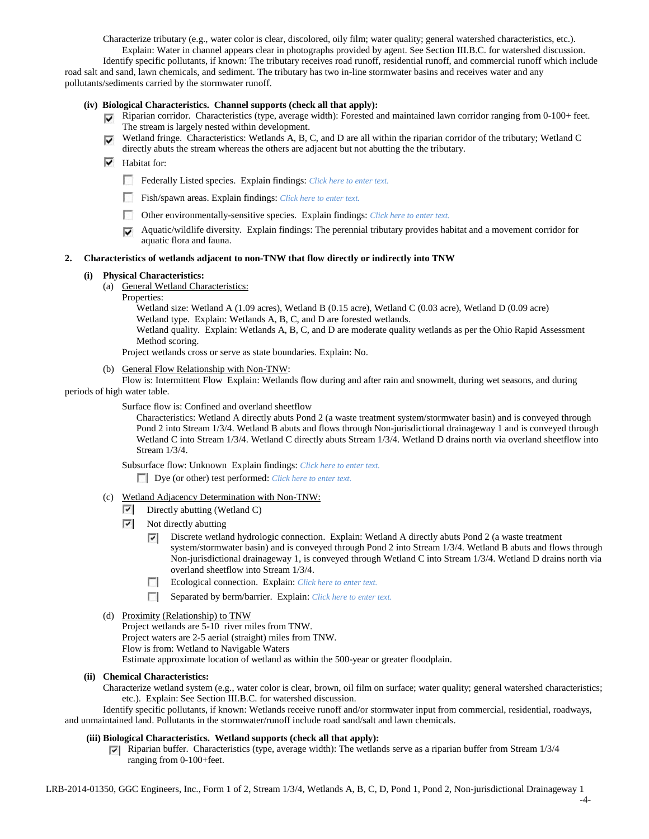Characterize tributary (e.g., water color is clear, discolored, oily film; water quality; general watershed characteristics, etc.).

Explain: Water in channel appears clear in photographs provided by agent. See Section III.B.C. for watershed discussion. Identify specific pollutants, if known: The tributary receives road runoff, residential runoff, and commercial runoff which include road salt and sand, lawn chemicals, and sediment. The tributary has two in-line stormwater basins and receives water and any pollutants/sediments carried by the stormwater runoff.

#### **(iv) Biological Characteristics. Channel supports (check all that apply):**

- Riparian corridor. Characteristics (type, average width): Forested and maintained lawn corridor ranging from 0-100+ feet. The stream is largely nested within development.
- Wetland fringe. Characteristics: Wetlands A, B, C, and D are all within the riparian corridor of the tributary; Wetland C  $\overline{\mathbf{v}}$ directly abuts the stream whereas the others are adjacent but not abutting the the tributary.

# $\overline{\triangledown}$  Habitat for:

- Federally Listed species. Explain findings: *Click here to enter text*.
- Fish/spawn areas. Explain findings: *Click here to enter text.*
- Other environmentally-sensitive species. Explain findings: *Click here to enter text.*
- Aquatic/wildlife diversity. Explain findings: The perennial tributary provides habitat and a movement corridor for aquatic flora and fauna.

### **2. Characteristics of wetlands adjacent to non-TNW that flow directly or indirectly into TNW**

### **(i) Physical Characteristics:**

- (a) General Wetland Characteristics:
	- Properties:

Wetland size: Wetland A (1.09 acres), Wetland B (0.15 acre), Wetland C (0.03 acre), Wetland D (0.09 acre) Wetland type. Explain: Wetlands A, B, C, and D are forested wetlands.

Wetland quality. Explain: Wetlands A, B, C, and D are moderate quality wetlands as per the Ohio Rapid Assessment Method scoring.

Project wetlands cross or serve as state boundaries. Explain: No.

(b) General Flow Relationship with Non-TNW:

Flow is: Intermittent Flow Explain: Wetlands flow during and after rain and snowmelt, during wet seasons, and during periods of high water table.

Surface flow is: Confined and overland sheetflow

Characteristics: Wetland A directly abuts Pond 2 (a waste treatment system/stormwater basin) and is conveyed through Pond 2 into Stream 1/3/4. Wetland B abuts and flows through Non-jurisdictional drainageway 1 and is conveyed through Wetland C into Stream 1/3/4. Wetland C directly abuts Stream 1/3/4. Wetland D drains north via overland sheetflow into Stream 1/3/4.

Subsurface flow: Unknown Explain findings: *Click here to enter text.*

Dye (or other) test performed: *Click here to enter text.*

- (c) Wetland Adjacency Determination with Non-TNW:
	- $\triangleright$  Directly abutting (Wetland C)
	- $\triangledown$  Not directly abutting
		- Discrete wetland hydrologic connection. Explain: Wetland A directly abuts Pond 2 (a waste treatment ⊽ system/stormwater basin) and is conveyed through Pond 2 into Stream 1/3/4. Wetland B abuts and flows through Non-jurisdictional drainageway 1, is conveyed through Wetland C into Stream 1/3/4. Wetland D drains north via overland sheetflow into Stream 1/3/4.
		- Ecological connection. Explain: *Click here to enter text.*
		- Separated by berm/barrier. Explain: *Click here to enter text.*
- (d) Proximity (Relationship) to TNW

Project wetlands are 5-10 river miles from TNW.

Project waters are 2-5 aerial (straight) miles from TNW.

Flow is from: Wetland to Navigable Waters

Estimate approximate location of wetland as within the 500-year or greater floodplain.

# **(ii) Chemical Characteristics:**

Characterize wetland system (e.g., water color is clear, brown, oil film on surface; water quality; general watershed characteristics; etc.). Explain: See Section III.B.C. for watershed discussion.

Identify specific pollutants, if known: Wetlands receive runoff and/or stormwater input from commercial, residential, roadways, and unmaintained land. Pollutants in the stormwater/runoff include road sand/salt and lawn chemicals.

# **(iii) Biological Characteristics. Wetland supports (check all that apply):**

Riparian buffer. Characteristics (type, average width): The wetlands serve as a riparian buffer from Stream  $1/3/4$ ranging from 0-100+feet.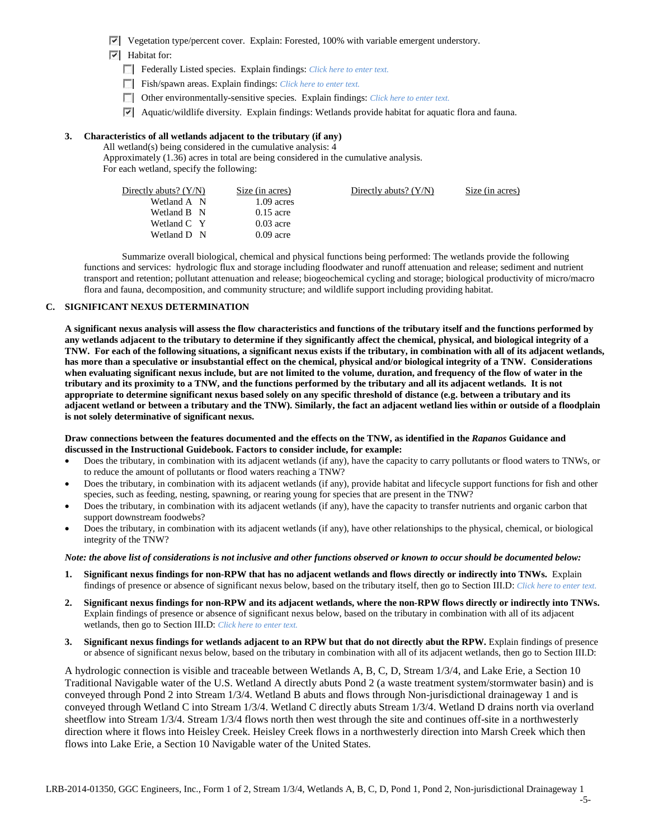- $\triangledown$  Vegetation type/percent cover. Explain: Forested, 100% with variable emergent understory.
- $\blacktriangleright$  Habitat for:
	- Federally Listed species. Explain findings: *Click here to enter text.*
	- Fish/spawn areas. Explain findings: *Click here to enter text.*
	- Other environmentally-sensitive species. Explain findings: *Click here to enter text.*
	- $\triangledown$  Aquatic/wildlife diversity. Explain findings: Wetlands provide habitat for aquatic flora and fauna.

### **3. Characteristics of all wetlands adjacent to the tributary (if any)**

All wetland(s) being considered in the cumulative analysis: 4 Approximately (1.36) acres in total are being considered in the cumulative analysis. For each wetland, specify the following:

| Directly abuts? $(Y/N)$ | Size (in acres) | Directly abuts? $(Y/N)$ | Size (in acres) |
|-------------------------|-----------------|-------------------------|-----------------|
| Wetland A N             | $1.09$ acres    |                         |                 |
| Wetland B N             | $0.15$ acre     |                         |                 |
| Wetland C Y             | $0.03$ acre     |                         |                 |
| Wetland D N             | $0.09$ acre     |                         |                 |
|                         |                 |                         |                 |

Summarize overall biological, chemical and physical functions being performed: The wetlands provide the following functions and services: hydrologic flux and storage including floodwater and runoff attenuation and release; sediment and nutrient transport and retention; pollutant attenuation and release; biogeochemical cycling and storage; biological productivity of micro/macro flora and fauna, decomposition, and community structure; and wildlife support including providing habitat.

# **C. SIGNIFICANT NEXUS DETERMINATION**

**A significant nexus analysis will assess the flow characteristics and functions of the tributary itself and the functions performed by any wetlands adjacent to the tributary to determine if they significantly affect the chemical, physical, and biological integrity of a TNW. For each of the following situations, a significant nexus exists if the tributary, in combination with all of its adjacent wetlands, has more than a speculative or insubstantial effect on the chemical, physical and/or biological integrity of a TNW. Considerations when evaluating significant nexus include, but are not limited to the volume, duration, and frequency of the flow of water in the tributary and its proximity to a TNW, and the functions performed by the tributary and all its adjacent wetlands. It is not appropriate to determine significant nexus based solely on any specific threshold of distance (e.g. between a tributary and its adjacent wetland or between a tributary and the TNW). Similarly, the fact an adjacent wetland lies within or outside of a floodplain is not solely determinative of significant nexus.** 

### **Draw connections between the features documented and the effects on the TNW, as identified in the** *Rapanos* **Guidance and discussed in the Instructional Guidebook. Factors to consider include, for example:**

- Does the tributary, in combination with its adjacent wetlands (if any), have the capacity to carry pollutants or flood waters to TNWs, or to reduce the amount of pollutants or flood waters reaching a TNW?
- Does the tributary, in combination with its adjacent wetlands (if any), provide habitat and lifecycle support functions for fish and other species, such as feeding, nesting, spawning, or rearing young for species that are present in the TNW?
- Does the tributary, in combination with its adjacent wetlands (if any), have the capacity to transfer nutrients and organic carbon that support downstream foodwebs?
- Does the tributary, in combination with its adjacent wetlands (if any), have other relationships to the physical, chemical, or biological integrity of the TNW?

# *Note: the above list of considerations is not inclusive and other functions observed or known to occur should be documented below:*

- **1. Significant nexus findings for non-RPW that has no adjacent wetlands and flows directly or indirectly into TNWs.** Explain findings of presence or absence of significant nexus below, based on the tributary itself, then go to Section III.D: *Click here to enter text.*
- **2. Significant nexus findings for non-RPW and its adjacent wetlands, where the non-RPW flows directly or indirectly into TNWs.**  Explain findings of presence or absence of significant nexus below, based on the tributary in combination with all of its adjacent wetlands, then go to Section III.D: *Click here to enter text.*
- **3. Significant nexus findings for wetlands adjacent to an RPW but that do not directly abut the RPW.** Explain findings of presence or absence of significant nexus below, based on the tributary in combination with all of its adjacent wetlands, then go to Section III.D:

A hydrologic connection is visible and traceable between Wetlands A, B, C, D, Stream 1/3/4, and Lake Erie, a Section 10 Traditional Navigable water of the U.S. Wetland A directly abuts Pond 2 (a waste treatment system/stormwater basin) and is conveyed through Pond 2 into Stream 1/3/4. Wetland B abuts and flows through Non-jurisdictional drainageway 1 and is conveyed through Wetland C into Stream 1/3/4. Wetland C directly abuts Stream 1/3/4. Wetland D drains north via overland sheetflow into Stream 1/3/4. Stream 1/3/4 flows north then west through the site and continues off-site in a northwesterly direction where it flows into Heisley Creek. Heisley Creek flows in a northwesterly direction into Marsh Creek which then flows into Lake Erie, a Section 10 Navigable water of the United States.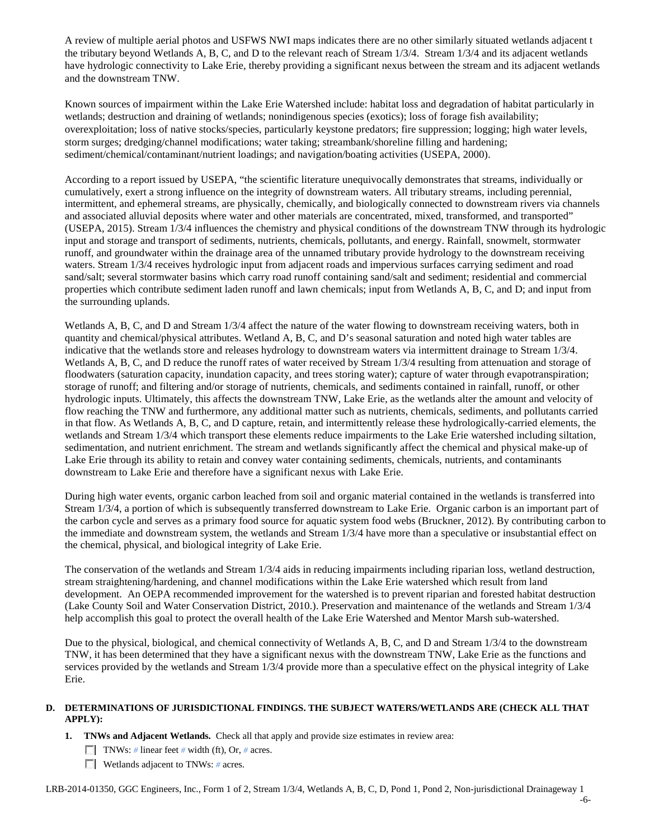A review of multiple aerial photos and USFWS NWI maps indicates there are no other similarly situated wetlands adjacent t the tributary beyond Wetlands A, B, C, and D to the relevant reach of Stream 1/3/4. Stream 1/3/4 and its adjacent wetlands have hydrologic connectivity to Lake Erie, thereby providing a significant nexus between the stream and its adjacent wetlands and the downstream TNW.

Known sources of impairment within the Lake Erie Watershed include: habitat loss and degradation of habitat particularly in wetlands; destruction and draining of wetlands; nonindigenous species (exotics); loss of forage fish availability; overexploitation; loss of native stocks/species, particularly keystone predators; fire suppression; logging; high water levels, storm surges; dredging/channel modifications; water taking; streambank/shoreline filling and hardening; sediment/chemical/contaminant/nutrient loadings; and navigation/boating activities (USEPA, 2000).

According to a report issued by USEPA, "the scientific literature unequivocally demonstrates that streams, individually or cumulatively, exert a strong influence on the integrity of downstream waters. All tributary streams, including perennial, intermittent, and ephemeral streams, are physically, chemically, and biologically connected to downstream rivers via channels and associated alluvial deposits where water and other materials are concentrated, mixed, transformed, and transported" (USEPA, 2015). Stream 1/3/4 influences the chemistry and physical conditions of the downstream TNW through its hydrologic input and storage and transport of sediments, nutrients, chemicals, pollutants, and energy. Rainfall, snowmelt, stormwater runoff, and groundwater within the drainage area of the unnamed tributary provide hydrology to the downstream receiving waters. Stream 1/3/4 receives hydrologic input from adjacent roads and impervious surfaces carrying sediment and road sand/salt; several stormwater basins which carry road runoff containing sand/salt and sediment; residential and commercial properties which contribute sediment laden runoff and lawn chemicals; input from Wetlands A, B, C, and D; and input from the surrounding uplands.

Wetlands A, B, C, and D and Stream  $1/3/4$  affect the nature of the water flowing to downstream receiving waters, both in quantity and chemical/physical attributes. Wetland A, B, C, and D's seasonal saturation and noted high water tables are indicative that the wetlands store and releases hydrology to downstream waters via intermittent drainage to Stream 1/3/4. Wetlands A, B, C, and D reduce the runoff rates of water received by Stream 1/3/4 resulting from attenuation and storage of floodwaters (saturation capacity, inundation capacity, and trees storing water); capture of water through evapotranspiration; storage of runoff; and filtering and/or storage of nutrients, chemicals, and sediments contained in rainfall, runoff, or other hydrologic inputs. Ultimately, this affects the downstream TNW, Lake Erie, as the wetlands alter the amount and velocity of flow reaching the TNW and furthermore, any additional matter such as nutrients, chemicals, sediments, and pollutants carried in that flow. As Wetlands A, B, C, and D capture, retain, and intermittently release these hydrologically-carried elements, the wetlands and Stream 1/3/4 which transport these elements reduce impairments to the Lake Erie watershed including siltation, sedimentation, and nutrient enrichment. The stream and wetlands significantly affect the chemical and physical make-up of Lake Erie through its ability to retain and convey water containing sediments, chemicals, nutrients, and contaminants downstream to Lake Erie and therefore have a significant nexus with Lake Erie.

During high water events, organic carbon leached from soil and organic material contained in the wetlands is transferred into Stream 1/3/4, a portion of which is subsequently transferred downstream to Lake Erie. Organic carbon is an important part of the carbon cycle and serves as a primary food source for aquatic system food webs (Bruckner, 2012). By contributing carbon to the immediate and downstream system, the wetlands and Stream 1/3/4 have more than a speculative or insubstantial effect on the chemical, physical, and biological integrity of Lake Erie.

The conservation of the wetlands and Stream 1/3/4 aids in reducing impairments including riparian loss, wetland destruction, stream straightening/hardening, and channel modifications within the Lake Erie watershed which result from land development. An OEPA recommended improvement for the watershed is to prevent riparian and forested habitat destruction (Lake County Soil and Water Conservation District, 2010.). Preservation and maintenance of the wetlands and Stream 1/3/4 help accomplish this goal to protect the overall health of the Lake Erie Watershed and Mentor Marsh sub-watershed.

Due to the physical, biological, and chemical connectivity of Wetlands A, B, C, and D and Stream 1/3/4 to the downstream TNW, it has been determined that they have a significant nexus with the downstream TNW, Lake Erie as the functions and services provided by the wetlands and Stream 1/3/4 provide more than a speculative effect on the physical integrity of Lake Erie.

# **D. DETERMINATIONS OF JURISDICTIONAL FINDINGS. THE SUBJECT WATERS/WETLANDS ARE (CHECK ALL THAT APPLY):**

- **1. TNWs and Adjacent Wetlands.** Check all that apply and provide size estimates in review area:
	- TNWs: *#* linear feet *#* width (ft), Or, *#* acres.
	- Wetlands adjacent to TNWs: # acres.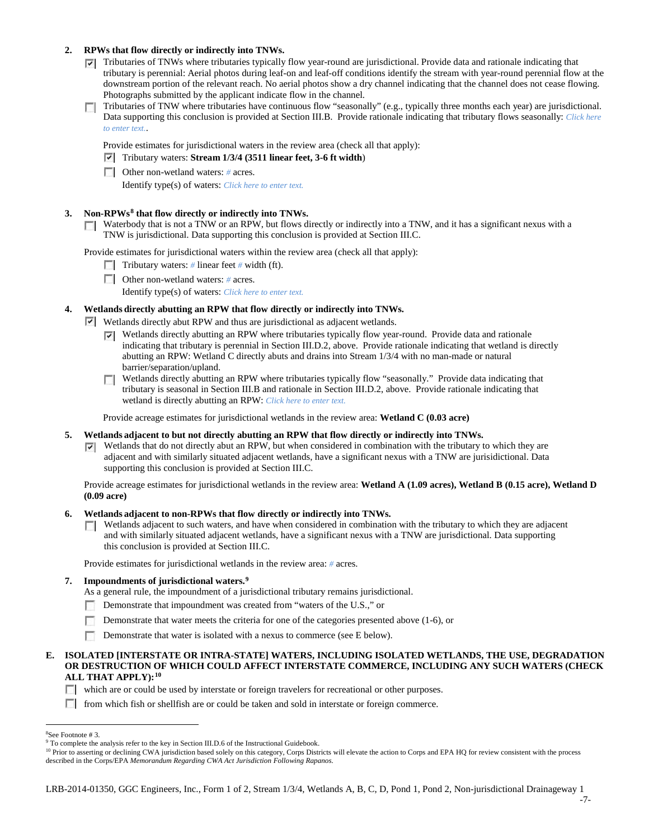### **2. RPWs that flow directly or indirectly into TNWs.**

- Tributaries of TNWs where tributaries typically flow year-round are jurisdictional. Provide data and rationale indicating that tributary is perennial: Aerial photos during leaf-on and leaf-off conditions identify the stream with year-round perennial flow at the downstream portion of the relevant reach. No aerial photos show a dry channel indicating that the channel does not cease flowing. Photographs submitted by the applicant indicate flow in the channel.
- Tributaries of TNW where tributaries have continuous flow "seasonally" (e.g., typically three months each year) are jurisdictional. n. Data supporting this conclusion is provided at Section III.B. Provide rationale indicating that tributary flows seasonally: *Click here to enter text.*.

Provide estimates for jurisdictional waters in the review area (check all that apply):

- Tributary waters: **Stream 1/3/4 (3511 linear feet, 3-6 ft width**)
- Other non-wetland waters: *#* acres. Identify type(s) of waters: *Click here to enter text.*

### **3. Non-RPWs[8](#page-6-0) that flow directly or indirectly into TNWs.**

Waterbody that is not a TNW or an RPW, but flows directly or indirectly into a TNW, and it has a significant nexus with a TNW is jurisdictional. Data supporting this conclusion is provided at Section III.C.

Provide estimates for jurisdictional waters within the review area (check all that apply):

- **Tributary waters:** # linear feet # width (ft).
- Other non-wetland waters: *#* acres.

Identify type(s) of waters: *Click here to enter text.*

### **4. Wetlands directly abutting an RPW that flow directly or indirectly into TNWs.**

 $\triangleright$  Wetlands directly abut RPW and thus are jurisdictional as adjacent wetlands.

- $\triangledown$  Wetlands directly abutting an RPW where tributaries typically flow year-round. Provide data and rationale indicating that tributary is perennial in Section III.D.2, above. Provide rationale indicating that wetland is directly abutting an RPW: Wetland C directly abuts and drains into Stream 1/3/4 with no man-made or natural barrier/separation/upland.
- Wetlands directly abutting an RPW where tributaries typically flow "seasonally." Provide data indicating that **TT** tributary is seasonal in Section III.B and rationale in Section III.D.2, above. Provide rationale indicating that wetland is directly abutting an RPW: *Click here to enter text.*

Provide acreage estimates for jurisdictional wetlands in the review area: **Wetland C (0.03 acre)**

### **5. Wetlands adjacent to but not directly abutting an RPW that flow directly or indirectly into TNWs.**

 $\nabla$  Wetlands that do not directly abut an RPW, but when considered in combination with the tributary to which they are adjacent and with similarly situated adjacent wetlands, have a significant nexus with a TNW are jurisidictional. Data supporting this conclusion is provided at Section III.C.

Provide acreage estimates for jurisdictional wetlands in the review area: **Wetland A (1.09 acres), Wetland B (0.15 acre), Wetland D (0.09 acre)**

#### **6. Wetlands adjacent to non-RPWs that flow directly or indirectly into TNWs.**

 $\Box$  Wetlands adjacent to such waters, and have when considered in combination with the tributary to which they are adjacent and with similarly situated adjacent wetlands, have a significant nexus with a TNW are jurisdictional. Data supporting this conclusion is provided at Section III.C.

Provide estimates for jurisdictional wetlands in the review area: *#* acres.

#### **7. Impoundments of jurisdictional waters. [9](#page-6-1)**

As a general rule, the impoundment of a jurisdictional tributary remains jurisdictional.

- Demonstrate that impoundment was created from "waters of the U.S.," or
- Demonstrate that water meets the criteria for one of the categories presented above (1-6), or
- n Demonstrate that water is isolated with a nexus to commerce (see E below).

#### **E. ISOLATED [INTERSTATE OR INTRA-STATE] WATERS, INCLUDING ISOLATED WETLANDS, THE USE, DEGRADATION OR DESTRUCTION OF WHICH COULD AFFECT INTERSTATE COMMERCE, INCLUDING ANY SUCH WATERS (CHECK ALL THAT APPLY):[10](#page-6-2)**

which are or could be used by interstate or foreign travelers for recreational or other purposes.

from which fish or shellfish are or could be taken and sold in interstate or foreign commerce.

<span id="page-6-2"></span><sup>10</sup> Prior to asserting or declining CWA jurisdiction based solely on this category, Corps Districts will elevate the action to Corps and EPA HQ for review consistent with the process described in the Corps/EPA *Memorandum Regarding CWA Act Jurisdiction Following Rapanos.*

 $\frac{1}{8}$ 

<span id="page-6-1"></span><span id="page-6-0"></span><sup>&</sup>lt;sup>8</sup>See Footnote # 3.<br><sup>9</sup> To complete the analysis refer to the key in Section III.D.6 of the Instructional Guidebook.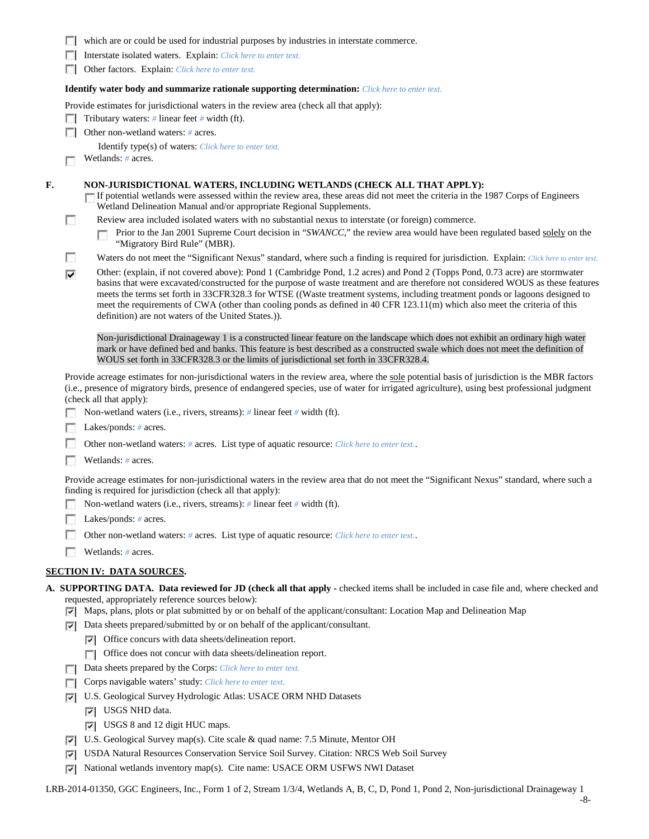|    |        | which are or could be used for industrial purposes by industries in interstate commerce.                                                                                                                                                                                                                                                                                                                                                                                                                                                                                              |  |  |  |  |  |  |  |
|----|--------|---------------------------------------------------------------------------------------------------------------------------------------------------------------------------------------------------------------------------------------------------------------------------------------------------------------------------------------------------------------------------------------------------------------------------------------------------------------------------------------------------------------------------------------------------------------------------------------|--|--|--|--|--|--|--|
|    |        | Interstate isolated waters. Explain: Click here to enter text.                                                                                                                                                                                                                                                                                                                                                                                                                                                                                                                        |  |  |  |  |  |  |  |
|    |        | Other factors. Explain: Click here to enter text.                                                                                                                                                                                                                                                                                                                                                                                                                                                                                                                                     |  |  |  |  |  |  |  |
|    |        | <b>Identify water body and summarize rationale supporting determination:</b> Click here to enter text.                                                                                                                                                                                                                                                                                                                                                                                                                                                                                |  |  |  |  |  |  |  |
|    |        | Provide estimates for jurisdictional waters in the review area (check all that apply):                                                                                                                                                                                                                                                                                                                                                                                                                                                                                                |  |  |  |  |  |  |  |
|    |        | Tributary waters: $\#$ linear feet $\#$ width (ft).                                                                                                                                                                                                                                                                                                                                                                                                                                                                                                                                   |  |  |  |  |  |  |  |
|    |        | Other non-wetland waters: # acres.                                                                                                                                                                                                                                                                                                                                                                                                                                                                                                                                                    |  |  |  |  |  |  |  |
|    |        | Identify type(s) of waters: Click here to enter text.                                                                                                                                                                                                                                                                                                                                                                                                                                                                                                                                 |  |  |  |  |  |  |  |
|    |        | Wetlands: # acres.                                                                                                                                                                                                                                                                                                                                                                                                                                                                                                                                                                    |  |  |  |  |  |  |  |
| F. |        | NON-JURISDICTIONAL WATERS, INCLUDING WETLANDS (CHECK ALL THAT APPLY):<br>If potential wetlands were assessed within the review area, these areas did not meet the criteria in the 1987 Corps of Engineers<br>Wetland Delineation Manual and/or appropriate Regional Supplements.                                                                                                                                                                                                                                                                                                      |  |  |  |  |  |  |  |
|    | $\sim$ | Review area included isolated waters with no substantial nexus to interstate (or foreign) commerce.                                                                                                                                                                                                                                                                                                                                                                                                                                                                                   |  |  |  |  |  |  |  |
|    |        | Prior to the Jan 2001 Supreme Court decision in "SWANCC," the review area would have been regulated based solely on the<br>"Migratory Bird Rule" (MBR).                                                                                                                                                                                                                                                                                                                                                                                                                               |  |  |  |  |  |  |  |
|    | u      | Waters do not meet the "Significant Nexus" standard, where such a finding is required for jurisdiction. Explain: Click here to enter text.                                                                                                                                                                                                                                                                                                                                                                                                                                            |  |  |  |  |  |  |  |
|    | ⊽      | Other: (explain, if not covered above): Pond 1 (Cambridge Pond, 1.2 acres) and Pond 2 (Topps Pond, 0.73 acre) are stormwater<br>basins that were excavated/constructed for the purpose of waste treatment and are therefore not considered WOUS as these features<br>meets the terms set forth in 33CFR328.3 for WTSE ((Waste treatment systems, including treatment ponds or lagoons designed to<br>meet the requirements of CWA (other than cooling ponds as defined in 40 CFR 123.11(m) which also meet the criteria of this<br>definition) are not waters of the United States.). |  |  |  |  |  |  |  |
|    |        | Non-jurisdictional Drainageway 1 is a constructed linear feature on the landscape which does not exhibit an ordinary high water<br>mark or have defined bed and banks. This feature is best described as a constructed swale which does not meet the definition of<br>WOUS set forth in 33CFR328.3 or the limits of jurisdictional set forth in 33CFR328.4.                                                                                                                                                                                                                           |  |  |  |  |  |  |  |
|    |        | Provide acreage estimates for non-jurisdictional waters in the review area, where the sole potential basis of jurisdiction is the MBR factors<br>(i.e., presence of migratory birds, presence of endangered species, use of water for irrigated agriculture), using best professional judgment<br>(check all that apply):                                                                                                                                                                                                                                                             |  |  |  |  |  |  |  |
|    |        | Non-wetland waters (i.e., rivers, streams): $\#$ linear feet $\#$ width (ft).                                                                                                                                                                                                                                                                                                                                                                                                                                                                                                         |  |  |  |  |  |  |  |
|    |        | Lakes/ponds: $# \, \text{acres.}$                                                                                                                                                                                                                                                                                                                                                                                                                                                                                                                                                     |  |  |  |  |  |  |  |
|    |        | Other non-wetland waters: # acres. List type of aquatic resource: Click here to enter text                                                                                                                                                                                                                                                                                                                                                                                                                                                                                            |  |  |  |  |  |  |  |
|    |        | Wetlands: # acres.                                                                                                                                                                                                                                                                                                                                                                                                                                                                                                                                                                    |  |  |  |  |  |  |  |
|    |        | Provide acreage estimates for non-jurisdictional waters in the review area that do not meet the "Significant Nexus" standard, where such a                                                                                                                                                                                                                                                                                                                                                                                                                                            |  |  |  |  |  |  |  |
|    |        | finding is required for jurisdiction (check all that apply):                                                                                                                                                                                                                                                                                                                                                                                                                                                                                                                          |  |  |  |  |  |  |  |
|    |        | Non-wetland waters (i.e., rivers, streams): # linear feet # width (ft).                                                                                                                                                                                                                                                                                                                                                                                                                                                                                                               |  |  |  |  |  |  |  |
|    |        | Lakes/ponds: $# \, \text{acres.}$                                                                                                                                                                                                                                                                                                                                                                                                                                                                                                                                                     |  |  |  |  |  |  |  |
|    |        | Other non-wetland waters: # acres. List type of aquatic resource: Click here to enter text                                                                                                                                                                                                                                                                                                                                                                                                                                                                                            |  |  |  |  |  |  |  |
|    |        | Wetlands: # acres.                                                                                                                                                                                                                                                                                                                                                                                                                                                                                                                                                                    |  |  |  |  |  |  |  |
|    |        | <u>SECTION IV: DATA SOURCES.</u>                                                                                                                                                                                                                                                                                                                                                                                                                                                                                                                                                      |  |  |  |  |  |  |  |
|    |        | A. SUPPORTING DATA. Data reviewed for JD (check all that apply - checked items shall be included in case file and, where checked and                                                                                                                                                                                                                                                                                                                                                                                                                                                  |  |  |  |  |  |  |  |
|    |        | requested, appropriately reference sources below):                                                                                                                                                                                                                                                                                                                                                                                                                                                                                                                                    |  |  |  |  |  |  |  |
|    | 罓      | Maps, plans, plots or plat submitted by or on behalf of the applicant/consultant: Location Map and Delineation Map                                                                                                                                                                                                                                                                                                                                                                                                                                                                    |  |  |  |  |  |  |  |
|    | ▽      | Data sheets prepared/submitted by or on behalf of the applicant/consultant.                                                                                                                                                                                                                                                                                                                                                                                                                                                                                                           |  |  |  |  |  |  |  |
|    |        |                                                                                                                                                                                                                                                                                                                                                                                                                                                                                                                                                                                       |  |  |  |  |  |  |  |
|    |        | Office concurs with data sheets/delineation report.<br>▽                                                                                                                                                                                                                                                                                                                                                                                                                                                                                                                              |  |  |  |  |  |  |  |
|    |        | Office does not concur with data sheets/delineation report.<br>п                                                                                                                                                                                                                                                                                                                                                                                                                                                                                                                      |  |  |  |  |  |  |  |
|    |        | Data sheets prepared by the Corps: Click here to enter text.                                                                                                                                                                                                                                                                                                                                                                                                                                                                                                                          |  |  |  |  |  |  |  |
|    |        | Corps navigable waters' study: Click here to enter text.                                                                                                                                                                                                                                                                                                                                                                                                                                                                                                                              |  |  |  |  |  |  |  |
|    | ⊽      | U.S. Geological Survey Hydrologic Atlas: USACE ORM NHD Datasets                                                                                                                                                                                                                                                                                                                                                                                                                                                                                                                       |  |  |  |  |  |  |  |

- USGS 8 and 12 digit HUC maps.
- U.S. Geological Survey map(s). Cite scale & quad name: 7.5 Minute, Mentor OH
- USDA Natural Resources Conservation Service Soil Survey. Citation: NRCS Web Soil Survey
- National wetlands inventory map(s). Cite name: USACE ORM USFWS NWI Dataset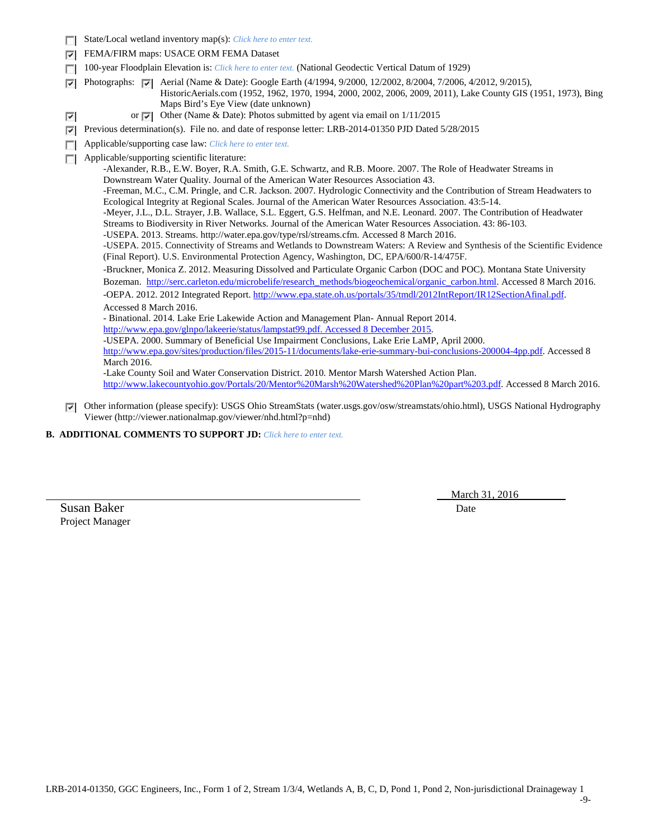|        | State/Local wetland inventory map(s): Click here to enter text.                                                                                                                                                                                                                                                                                                                                                                                                                                                                                                               |                                                                                                                                                                                                                                                                                                                                                                        |  |  |  |  |  |  |
|--------|-------------------------------------------------------------------------------------------------------------------------------------------------------------------------------------------------------------------------------------------------------------------------------------------------------------------------------------------------------------------------------------------------------------------------------------------------------------------------------------------------------------------------------------------------------------------------------|------------------------------------------------------------------------------------------------------------------------------------------------------------------------------------------------------------------------------------------------------------------------------------------------------------------------------------------------------------------------|--|--|--|--|--|--|
| ⊽      | FEMA/FIRM maps: USACE ORM FEMA Dataset                                                                                                                                                                                                                                                                                                                                                                                                                                                                                                                                        |                                                                                                                                                                                                                                                                                                                                                                        |  |  |  |  |  |  |
|        | 100-year Floodplain Elevation is: Click here to enter text. (National Geodectic Vertical Datum of 1929)                                                                                                                                                                                                                                                                                                                                                                                                                                                                       |                                                                                                                                                                                                                                                                                                                                                                        |  |  |  |  |  |  |
| ⊽<br>⊽ | Photographs: $ \nabla $                                                                                                                                                                                                                                                                                                                                                                                                                                                                                                                                                       | Aerial (Name & Date): Google Earth (4/1994, 9/2000, 12/2002, 8/2004, 7/2006, 4/2012, 9/2015),<br>HistoricAerials.com (1952, 1962, 1970, 1994, 2000, 2002, 2006, 2009, 2011), Lake County GIS (1951, 1973), Bing<br>Maps Bird's Eye View (date unknown)<br>or $\vert \overline{\mathbf{v}} \vert$ Other (Name & Date): Photos submitted by agent via email on 1/11/2015 |  |  |  |  |  |  |
|        |                                                                                                                                                                                                                                                                                                                                                                                                                                                                                                                                                                               |                                                                                                                                                                                                                                                                                                                                                                        |  |  |  |  |  |  |
| ⊽      |                                                                                                                                                                                                                                                                                                                                                                                                                                                                                                                                                                               | Previous determination(s). File no. and date of response letter: LRB-2014-01350 PJD Dated 5/28/2015                                                                                                                                                                                                                                                                    |  |  |  |  |  |  |
| п      |                                                                                                                                                                                                                                                                                                                                                                                                                                                                                                                                                                               | Applicable/supporting case law: Click here to enter text.                                                                                                                                                                                                                                                                                                              |  |  |  |  |  |  |
| п      |                                                                                                                                                                                                                                                                                                                                                                                                                                                                                                                                                                               | Applicable/supporting scientific literature:                                                                                                                                                                                                                                                                                                                           |  |  |  |  |  |  |
|        |                                                                                                                                                                                                                                                                                                                                                                                                                                                                                                                                                                               | -Alexander, R.B., E.W. Boyer, R.A. Smith, G.E. Schwartz, and R.B. Moore. 2007. The Role of Headwater Streams in<br>Downstream Water Quality. Journal of the American Water Resources Association 43.                                                                                                                                                                   |  |  |  |  |  |  |
|        | -Freeman, M.C., C.M. Pringle, and C.R. Jackson. 2007. Hydrologic Connectivity and the Contribution of Stream Headwaters to<br>Ecological Integrity at Regional Scales. Journal of the American Water Resources Association. 43:5-14.<br>-Meyer, J.L., D.L. Strayer, J.B. Wallace, S.L. Eggert, G.S. Helfman, and N.E. Leonard. 2007. The Contribution of Headwater<br>Streams to Biodiversity in River Networks. Journal of the American Water Resources Association. 43: 86-103.<br>-USEPA. 2013. Streams. http://water.epa.gov/type/rsl/streams.cfm. Accessed 8 March 2016. |                                                                                                                                                                                                                                                                                                                                                                        |  |  |  |  |  |  |
|        |                                                                                                                                                                                                                                                                                                                                                                                                                                                                                                                                                                               | -USEPA. 2015. Connectivity of Streams and Wetlands to Downstream Waters: A Review and Synthesis of the Scientific Evidence<br>(Final Report). U.S. Environmental Protection Agency, Washington, DC, EPA/600/R-14/475F.                                                                                                                                                 |  |  |  |  |  |  |
|        |                                                                                                                                                                                                                                                                                                                                                                                                                                                                                                                                                                               | -Bruckner, Monica Z. 2012. Measuring Dissolved and Particulate Organic Carbon (DOC and POC). Montana State University                                                                                                                                                                                                                                                  |  |  |  |  |  |  |
|        |                                                                                                                                                                                                                                                                                                                                                                                                                                                                                                                                                                               | Bozeman. http://serc.carleton.edu/microbelife/research_methods/biogeochemical/organic_carbon.html. Accessed 8 March 2016.                                                                                                                                                                                                                                              |  |  |  |  |  |  |
|        |                                                                                                                                                                                                                                                                                                                                                                                                                                                                                                                                                                               | -OEPA. 2012. 2012 Integrated Report. http://www.epa.state.oh.us/portals/35/tmdl/2012IntReport/IR12SectionAfinal.pdf.                                                                                                                                                                                                                                                   |  |  |  |  |  |  |
|        | Accessed 8 March 2016.                                                                                                                                                                                                                                                                                                                                                                                                                                                                                                                                                        |                                                                                                                                                                                                                                                                                                                                                                        |  |  |  |  |  |  |
|        |                                                                                                                                                                                                                                                                                                                                                                                                                                                                                                                                                                               | - Binational. 2014. Lake Erie Lakewide Action and Management Plan-Annual Report 2014.                                                                                                                                                                                                                                                                                  |  |  |  |  |  |  |
|        | http://www.epa.gov/glnpo/lakeerie/status/lampstat99.pdf. Accessed 8 December 2015.                                                                                                                                                                                                                                                                                                                                                                                                                                                                                            |                                                                                                                                                                                                                                                                                                                                                                        |  |  |  |  |  |  |
|        |                                                                                                                                                                                                                                                                                                                                                                                                                                                                                                                                                                               | -USEPA. 2000. Summary of Beneficial Use Impairment Conclusions, Lake Erie LaMP, April 2000.                                                                                                                                                                                                                                                                            |  |  |  |  |  |  |
|        |                                                                                                                                                                                                                                                                                                                                                                                                                                                                                                                                                                               | http://www.epa.gov/sites/production/files/2015-11/documents/lake-erie-summary-bui-conclusions-200004-4pp.pdf. Accessed 8                                                                                                                                                                                                                                               |  |  |  |  |  |  |
|        | March 2016.                                                                                                                                                                                                                                                                                                                                                                                                                                                                                                                                                                   |                                                                                                                                                                                                                                                                                                                                                                        |  |  |  |  |  |  |
|        |                                                                                                                                                                                                                                                                                                                                                                                                                                                                                                                                                                               | -Lake County Soil and Water Conservation District. 2010. Mentor Marsh Watershed Action Plan.                                                                                                                                                                                                                                                                           |  |  |  |  |  |  |
|        |                                                                                                                                                                                                                                                                                                                                                                                                                                                                                                                                                                               | http://www.lakecountyohio.gov/Portals/20/Mentor%20Marsh%20Watershed%20Plan%20part%203.pdf. Accessed 8 March 2016.                                                                                                                                                                                                                                                      |  |  |  |  |  |  |

Other information (please specify): USGS Ohio StreamStats (water.usgs.gov/osw/streamstats/ohio.html), USGS National Hydrography Viewer (http://viewer.nationalmap.gov/viewer/nhd.html?p=nhd)

**B. ADDITIONAL COMMENTS TO SUPPORT JD:** *Click here to enter text.*

March 31, 2016

Susan Baker Date Project Manager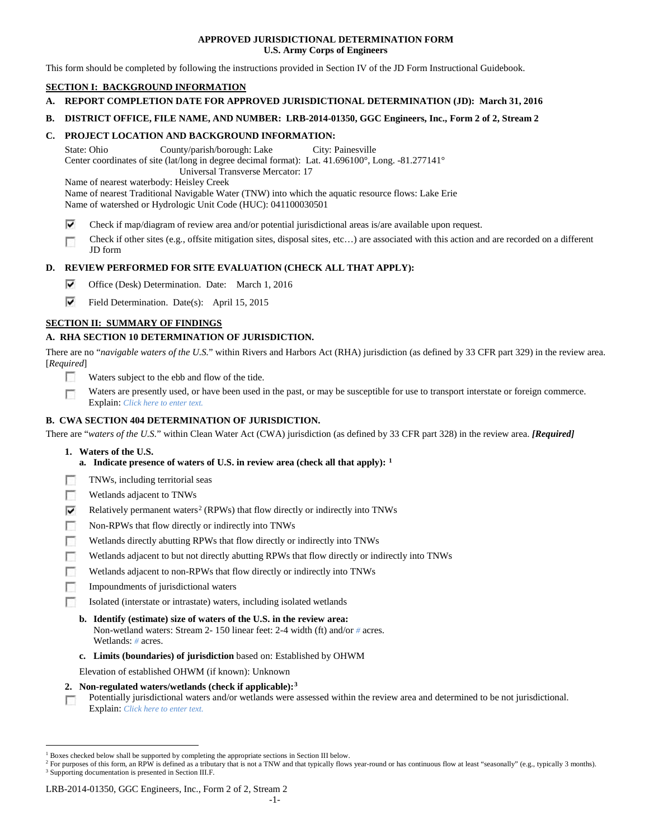### **APPROVED JURISDICTIONAL DETERMINATION FORM U.S. Army Corps of Engineers**

This form should be completed by following the instructions provided in Section IV of the JD Form Instructional Guidebook.

# **SECTION I: BACKGROUND INFORMATION**

- **A. REPORT COMPLETION DATE FOR APPROVED JURISDICTIONAL DETERMINATION (JD): March 31, 2016**
- **B. DISTRICT OFFICE, FILE NAME, AND NUMBER: LRB-2014-01350, GGC Engineers, Inc., Form 2 of 2, Stream 2**

### **C. PROJECT LOCATION AND BACKGROUND INFORMATION:**

State: Ohio County/parish/borough: Lake City: Painesville Center coordinates of site (lat/long in degree decimal format): Lat. 41.696100°, Long. -81.277141° Universal Transverse Mercator: 17

Name of nearest waterbody: Heisley Creek

Name of nearest Traditional Navigable Water (TNW) into which the aquatic resource flows: Lake Erie

Name of watershed or Hydrologic Unit Code (HUC): 041100030501

- ⊽ Check if map/diagram of review area and/or potential jurisdictional areas is/are available upon request.
- Check if other sites (e.g., offsite mitigation sites, disposal sites, etc…) are associated with this action and are recorded on a different п JD form

# **D. REVIEW PERFORMED FOR SITE EVALUATION (CHECK ALL THAT APPLY):**

- ⊽ Office (Desk) Determination. Date: March 1, 2016
- ⊽ Field Determination. Date(s): April 15, 2015

# **SECTION II: SUMMARY OF FINDINGS**

### **A. RHA SECTION 10 DETERMINATION OF JURISDICTION.**

There are no "*navigable waters of the U.S.*" within Rivers and Harbors Act (RHA) jurisdiction (as defined by 33 CFR part 329) in the review area. [*Required*]

- n Waters subject to the ebb and flow of the tide.
- Waters are presently used, or have been used in the past, or may be susceptible for use to transport interstate or foreign commerce. п Explain: *Click here to enter text.*

### **B. CWA SECTION 404 DETERMINATION OF JURISDICTION.**

There are "*waters of the U.S.*" within Clean Water Act (CWA) jurisdiction (as defined by 33 CFR part 328) in the review area. *[Required]*

- **1. Waters of the U.S.**
	- **a. Indicate presence of waters of U.S. in review area (check all that apply): [1](#page-9-0)**
- Е TNWs, including territorial seas
- п Wetlands adjacent to TNWs
- Relatively permanent waters<sup>[2](#page-9-1)</sup> (RPWs) that flow directly or indirectly into TNWs ⊽
- г Non-RPWs that flow directly or indirectly into TNWs
- п Wetlands directly abutting RPWs that flow directly or indirectly into TNWs
- Wetlands adjacent to but not directly abutting RPWs that flow directly or indirectly into TNWs г
- Wetlands adjacent to non-RPWs that flow directly or indirectly into TNWs г
- п Impoundments of jurisdictional waters
- Isolated (interstate or intrastate) waters, including isolated wetlands n.
	- **b. Identify (estimate) size of waters of the U.S. in the review area:**
		- Non-wetland waters: Stream 2- 150 linear feet: 2-4 width (ft) and/or *#* acres. Wetlands: *#* acres.
	- **c. Limits (boundaries) of jurisdiction** based on: Established by OHWM

Elevation of established OHWM (if known): Unknown

- **2. Non-regulated waters/wetlands (check if applicable):[3](#page-9-2)**
- Potentially jurisdictional waters and/or wetlands were assessed within the review area and determined to be not jurisdictional. п Explain: *Click here to enter text.*

<span id="page-9-0"></span><sup>&</sup>lt;sup>1</sup> Boxes checked below shall be supported by completing the appropriate sections in Section III below.

<span id="page-9-2"></span><span id="page-9-1"></span><sup>&</sup>lt;sup>2</sup> For purposes of this form, an RPW is defined as a tributary that is not a TNW and that typically flows year-round or has continuous flow at least "seasonally" (e.g., typically 3 months). <sup>3</sup> Supporting documentation is presented in Section III.F.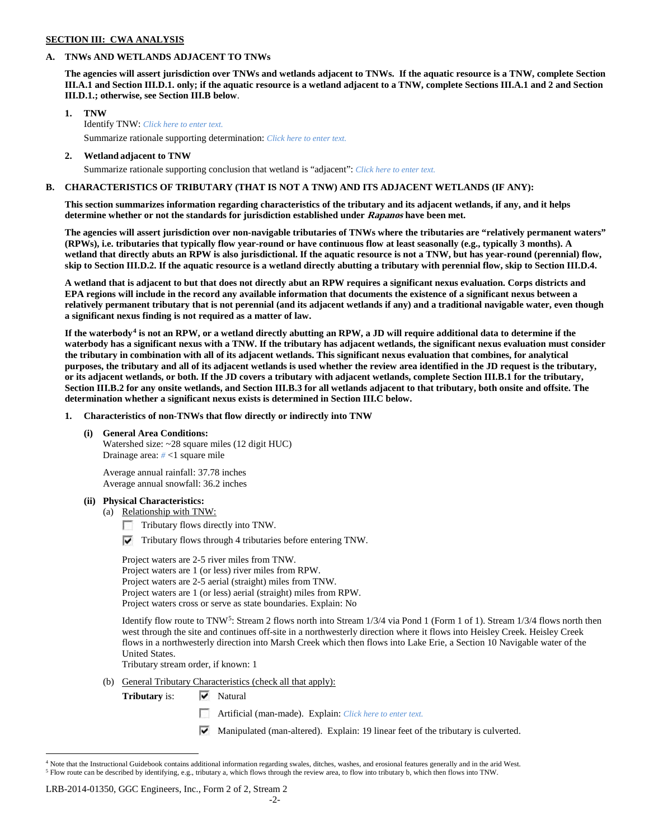#### **SECTION III: CWA ANALYSIS**

### **A. TNWs AND WETLANDS ADJACENT TO TNWs**

**The agencies will assert jurisdiction over TNWs and wetlands adjacent to TNWs. If the aquatic resource is a TNW, complete Section III.A.1 and Section III.D.1. only; if the aquatic resource is a wetland adjacent to a TNW, complete Sections III.A.1 and 2 and Section III.D.1.; otherwise, see Section III.B below**.

- **1. TNW**  Identify TNW: *Click here to enter text.*
	- Summarize rationale supporting determination: *Click here to enter text.*
- **2. Wetland adjacent to TNW** Summarize rationale supporting conclusion that wetland is "adjacent": *Click here to enter text.*

# **B. CHARACTERISTICS OF TRIBUTARY (THAT IS NOT A TNW) AND ITS ADJACENT WETLANDS (IF ANY):**

**This section summarizes information regarding characteristics of the tributary and its adjacent wetlands, if any, and it helps determine whether or not the standards for jurisdiction established under Rapanos have been met.** 

**The agencies will assert jurisdiction over non-navigable tributaries of TNWs where the tributaries are "relatively permanent waters" (RPWs), i.e. tributaries that typically flow year-round or have continuous flow at least seasonally (e.g., typically 3 months). A wetland that directly abuts an RPW is also jurisdictional. If the aquatic resource is not a TNW, but has year-round (perennial) flow, skip to Section III.D.2. If the aquatic resource is a wetland directly abutting a tributary with perennial flow, skip to Section III.D.4.**

**A wetland that is adjacent to but that does not directly abut an RPW requires a significant nexus evaluation. Corps districts and EPA regions will include in the record any available information that documents the existence of a significant nexus between a relatively permanent tributary that is not perennial (and its adjacent wetlands if any) and a traditional navigable water, even though a significant nexus finding is not required as a matter of law.**

**If the waterbody[4](#page-10-0) is not an RPW, or a wetland directly abutting an RPW, a JD will require additional data to determine if the waterbody has a significant nexus with a TNW. If the tributary has adjacent wetlands, the significant nexus evaluation must consider the tributary in combination with all of its adjacent wetlands. This significant nexus evaluation that combines, for analytical purposes, the tributary and all of its adjacent wetlands is used whether the review area identified in the JD request is the tributary, or its adjacent wetlands, or both. If the JD covers a tributary with adjacent wetlands, complete Section III.B.1 for the tributary, Section III.B.2 for any onsite wetlands, and Section III.B.3 for all wetlands adjacent to that tributary, both onsite and offsite. The determination whether a significant nexus exists is determined in Section III.C below.**

**1. Characteristics of non-TNWs that flow directly or indirectly into TNW**

**(i) General Area Conditions:**

Watershed size: ~28 square miles (12 digit HUC) Drainage area: *#* <1 square mile

Average annual rainfall: 37.78 inches Average annual snowfall: 36.2 inches

- **(ii) Physical Characteristics:**
	- (a) Relationship with TNW:
		- Tributary flows directly into TNW.
		- $\triangledown$  Tributary flows through 4 tributaries before entering TNW.

Project waters are 2-5 river miles from TNW. Project waters are 1 (or less) river miles from RPW. Project waters are 2-5 aerial (straight) miles from TNW. Project waters are 1 (or less) aerial (straight) miles from RPW. Project waters cross or serve as state boundaries. Explain: No

Identify flow route to TNW<sup>5</sup>: Stream 2 flows north into Stream 1/3/4 via Pond 1 (Form 1 of 1). Stream 1/3/4 flows north then west through the site and continues off-site in a northwesterly direction where it flows into Heisley Creek. Heisley Creek flows in a northwesterly direction into Marsh Creek which then flows into Lake Erie, a Section 10 Navigable water of the United States.

Tributary stream order, if known: 1

- (b) General Tributary Characteristics (check all that apply):
	- **Tributary** is:  $\forall$  Natural
		- Artificial (man-made). Explain: *Click here to enter text.*
		- Manipulated (man-altered). Explain: 19 linear feet of the tributary is culverted.

#### LRB-2014-01350, GGC Engineers, Inc., Form 2 of 2, Stream 2

<span id="page-10-1"></span><span id="page-10-0"></span><sup>&</sup>lt;sup>4</sup> Note that the Instructional Guidebook contains additional information regarding swales, ditches, washes, and erosional features generally and in the arid West. <sup>5</sup> Flow route can be described by identifying, e.g., tributary a, which flows through the review area, to flow into tributary b, which then flows into TNW.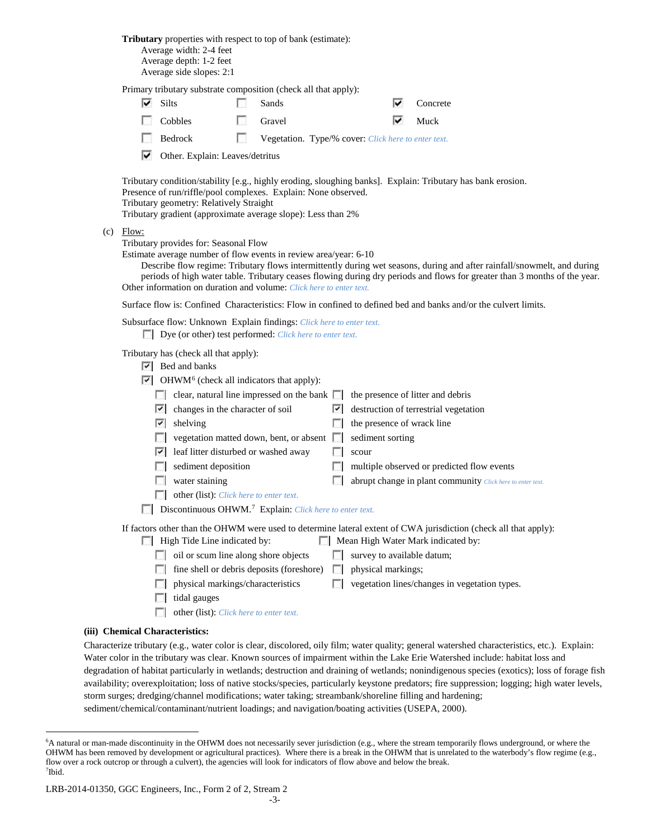**Tributary** properties with respect to top of bank (estimate): Average width: 2-4 feet Average depth: 1-2 feet Average side slopes: 2:1

Primary tributary substrate composition (check all that apply):

| $\overline{\triangleright}$ Silts | $\Box$ Sands                                        | $\triangledown$ Concrete   |
|-----------------------------------|-----------------------------------------------------|----------------------------|
| $\Box$ Cobbles                    | <b>C</b> ravel                                      | $\blacktriangleright$ Muck |
| $\Box$ Bedrock                    | Vegetation. Type/% cover: Click here to enter text. |                            |

 $\triangledown$  Other. Explain: Leaves/detritus

Tributary condition/stability [e.g., highly eroding, sloughing banks]. Explain: Tributary has bank erosion. Presence of run/riffle/pool complexes. Explain: None observed. Tributary geometry: Relatively Straight Tributary gradient (approximate average slope): Less than 2%

(c) Flow:

Tributary provides for: Seasonal Flow

Estimate average number of flow events in review area/year: 6-10

Describe flow regime: Tributary flows intermittently during wet seasons, during and after rainfall/snowmelt, and during periods of high water table. Tributary ceases flowing during dry periods and flows for greater than 3 months of the year. Other information on duration and volume: *Click here to enter text.*

Surface flow is: Confined Characteristics: Flow in confined to defined bed and banks and/or the culvert limits.

Subsurface flow: Unknown Explain findings: *Click here to enter text.*

Dye (or other) test performed: *Click here to enter text.*

Tributary has (check all that apply):

|  | $\overline{\triangledown}$ Bed and banks |  |  |
|--|------------------------------------------|--|--|
|--|------------------------------------------|--|--|

 $\nabla$  OHWM<sup>[6](#page-11-0)</sup> (check all indicators that apply):

|    | $\mathbb{F}$ Ori WM (check all indicators that apply).                             |    |                                                                                                                                                                              |
|----|------------------------------------------------------------------------------------|----|------------------------------------------------------------------------------------------------------------------------------------------------------------------------------|
|    | clear, natural line impressed on the bank $\Box$ the presence of litter and debris |    |                                                                                                                                                                              |
| V. | changes in the character of soil                                                   |    | $\triangleright$ destruction of terrestrial vegetation                                                                                                                       |
| V) | shelving                                                                           |    | the presence of wrack line                                                                                                                                                   |
|    | vegetation matted down, bent, or absent                                            | L. | sediment sorting                                                                                                                                                             |
| び  | leaf litter disturbed or washed away                                               |    | scour                                                                                                                                                                        |
|    | sediment deposition                                                                |    | multiple observed or predicted flow events                                                                                                                                   |
|    | water staining                                                                     |    | abrupt change in plant community Click here to enter text.                                                                                                                   |
|    | other (list): Click here to enter text.                                            |    |                                                                                                                                                                              |
|    | Discontinuous OHWM. <sup>7</sup> Explain: Click here to enter text.                |    |                                                                                                                                                                              |
|    |                                                                                    |    | If factors other than the OHWM were used to determine lateral extent of CWA jurisdiction (check all that apply):<br>$\Box$ M. $\Box$ H. W. $\Box$ M. $\Box$ is directed from |

- $\Box$  High Tide Line indicated by:  $\Box$  Mean High Water Mark indicated by:
	- oil or scum line along shore objects  $\Box$  survey to available datum;
	- $\Box$  fine shell or debris deposits (foreshore)  $\Box$  physical markings;
	- $\Box$  physical markings/characteristics  $\Box$  vegetation lines/changes in vegetation types.
	- $\Box$  tidal gauges
	- other (list): *Click here to enter text.*

# **(iii) Chemical Characteristics:**

Characterize tributary (e.g., water color is clear, discolored, oily film; water quality; general watershed characteristics, etc.). Explain: Water color in the tributary was clear. Known sources of impairment within the Lake Erie Watershed include: habitat loss and degradation of habitat particularly in wetlands; destruction and draining of wetlands; nonindigenous species (exotics); loss of forage fish availability; overexploitation; loss of native stocks/species, particularly keystone predators; fire suppression; logging; high water levels, storm surges; dredging/channel modifications; water taking; streambank/shoreline filling and hardening; sediment/chemical/contaminant/nutrient loadings; and navigation/boating activities (USEPA, 2000).

<span id="page-11-1"></span><span id="page-11-0"></span> <sup>6</sup> <sup>6</sup>A natural or man-made discontinuity in the OHWM does not necessarily sever jurisdiction (e.g., where the stream temporarily flows underground, or where the OHWM has been removed by development or agricultural practices). Where there is a break in the OHWM that is unrelated to the waterbody's flow regime (e.g., flow over a rock outcrop or through a culvert), the agencies will look for indicators of flow above and below the break. 7 Ibid.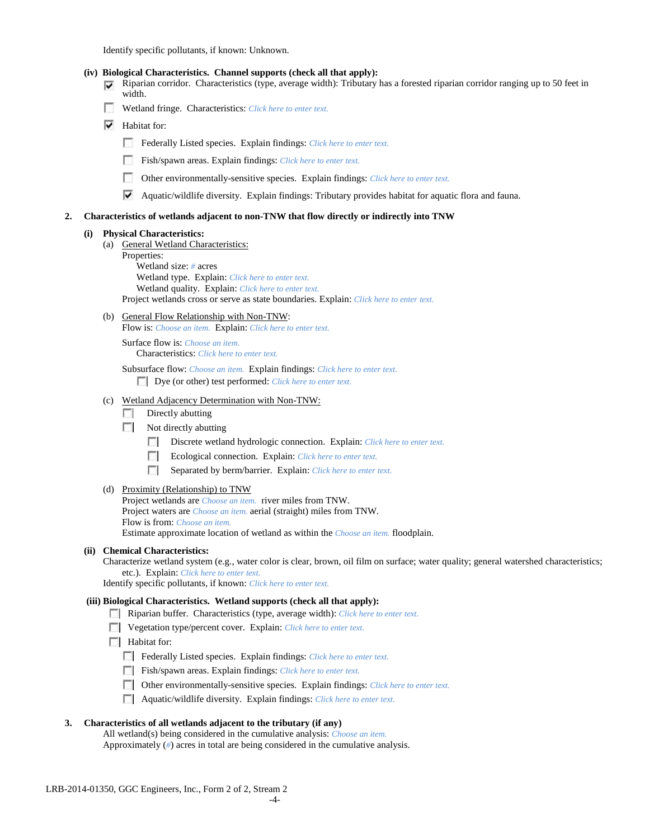Identify specific pollutants, if known: Unknown.

|    |     | ⊽   | (iv) Biological Characteristics. Channel supports (check all that apply):<br>Riparian corridor. Characteristics (type, average width): Tributary has a forested riparian corridor ranging up to 50 feet in<br>width.                                                                                                                                                                                                                                                                                                                                                           |
|----|-----|-----|--------------------------------------------------------------------------------------------------------------------------------------------------------------------------------------------------------------------------------------------------------------------------------------------------------------------------------------------------------------------------------------------------------------------------------------------------------------------------------------------------------------------------------------------------------------------------------|
|    |     | u   | Wetland fringe. Characteristics: Click here to enter text.                                                                                                                                                                                                                                                                                                                                                                                                                                                                                                                     |
|    |     | ⊽   | Habitat for:                                                                                                                                                                                                                                                                                                                                                                                                                                                                                                                                                                   |
|    |     |     | Federally Listed species. Explain findings: Click here to enter text.                                                                                                                                                                                                                                                                                                                                                                                                                                                                                                          |
|    |     |     | Fish/spawn areas. Explain findings: Click here to enter text.                                                                                                                                                                                                                                                                                                                                                                                                                                                                                                                  |
|    |     |     |                                                                                                                                                                                                                                                                                                                                                                                                                                                                                                                                                                                |
|    |     |     | L.<br>Other environmentally-sensitive species. Explain findings: Click here to enter text.                                                                                                                                                                                                                                                                                                                                                                                                                                                                                     |
|    |     |     | ▽<br>Aquatic/wildlife diversity. Explain findings: Tributary provides habitat for aquatic flora and fauna.                                                                                                                                                                                                                                                                                                                                                                                                                                                                     |
| 2. |     |     | Characteristics of wetlands adjacent to non-TNW that flow directly or indirectly into TNW                                                                                                                                                                                                                                                                                                                                                                                                                                                                                      |
|    | (i) | (a) | <b>Physical Characteristics:</b><br>General Wetland Characteristics:<br>Properties:<br>Wetland size: $#$ acres<br>Wetland type. Explain: Click here to enter text.<br>Wetland quality. Explain: Click here to enter text.<br>Project wetlands cross or serve as state boundaries. Explain: Click here to enter text.                                                                                                                                                                                                                                                           |
|    |     |     | (b) General Flow Relationship with Non-TNW:<br>Flow is: Choose an item. Explain: Click here to enter text.                                                                                                                                                                                                                                                                                                                                                                                                                                                                     |
|    |     |     | Surface flow is: Choose an item.<br><b>Characteristics:</b> Click here to enter text.                                                                                                                                                                                                                                                                                                                                                                                                                                                                                          |
|    |     |     | Subsurface flow: Choose an item. Explain findings: Click here to enter text.<br>Dye (or other) test performed: Click here to enter text.                                                                                                                                                                                                                                                                                                                                                                                                                                       |
|    |     | (c) | Wetland Adjacency Determination with Non-TNW:<br>Directly abutting<br><b>1999</b><br>$\Box$<br>Not directly abutting<br>Discrete wetland hydrologic connection. Explain: Click here to enter text.<br>Ecological connection. Explain: Click here to enter text.<br>п<br>п<br>Separated by berm/barrier. Explain: Click here to enter text.                                                                                                                                                                                                                                     |
|    |     |     | (d) Proximity (Relationship) to TNW<br>Project wetlands are <i>Choose an item.</i> river miles from TNW.<br>Project waters are <i>Choose an item.</i> aerial (straight) miles from TNW.<br>Flow is from: Choose an item.<br>Estimate approximate location of wetland as within the Choose an item. floodplain.                                                                                                                                                                                                                                                                 |
|    |     |     | (ii) Chemical Characteristics:<br>Characterize wetland system (e.g., water color is clear, brown, oil film on surface; water quality; general watershed characteristics;<br>etc.). Explain: Click here to enter text.<br>Identify specific pollutants, if known: Click here to enter text.                                                                                                                                                                                                                                                                                     |
|    |     |     | (iii) Biological Characteristics. Wetland supports (check all that apply):<br>Riparian buffer. Characteristics (type, average width): Click here to enter text.<br>Vegetation type/percent cover. Explain: Click here to enter text.<br>$\Box$ Habitat for:<br>Federally Listed species. Explain findings: Click here to enter text.<br>Fish/spawn areas. Explain findings: Click here to enter text.<br>Other environmentally-sensitive species. Explain findings: Click here to enter text.<br>L.<br>Aquatic/wildlife diversity. Explain findings: Click here to enter text. |
| 3. |     |     | Characteristics of all wetlands adjacent to the tributary (if any)                                                                                                                                                                                                                                                                                                                                                                                                                                                                                                             |

All wetland(s) being considered in the cumulative analysis: *Choose an item.* Approximately (*#*) acres in total are being considered in the cumulative analysis.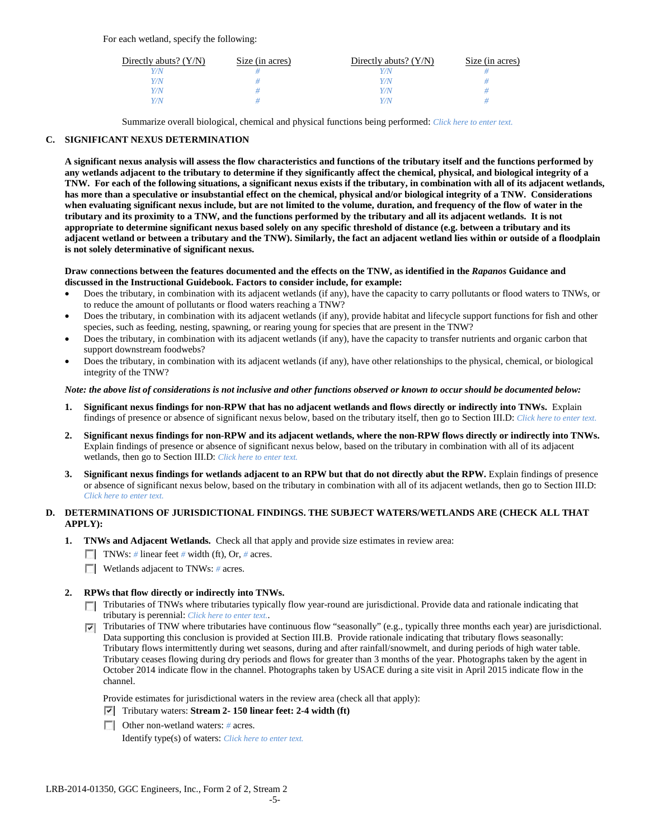For each wetland, specify the following:

| Directly abuts? $(Y/N)$ | Size (in acres) | Directly abuts? $(Y/N)$ | Size (in acres) |
|-------------------------|-----------------|-------------------------|-----------------|
|                         |                 | Y/N                     |                 |
| V/N                     |                 | Y/N                     |                 |
| V/N                     |                 | Y/N                     |                 |
|                         |                 | Y/N                     |                 |

Summarize overall biological, chemical and physical functions being performed: *Click here to enter text.*

# **C. SIGNIFICANT NEXUS DETERMINATION**

**A significant nexus analysis will assess the flow characteristics and functions of the tributary itself and the functions performed by any wetlands adjacent to the tributary to determine if they significantly affect the chemical, physical, and biological integrity of a TNW. For each of the following situations, a significant nexus exists if the tributary, in combination with all of its adjacent wetlands, has more than a speculative or insubstantial effect on the chemical, physical and/or biological integrity of a TNW. Considerations when evaluating significant nexus include, but are not limited to the volume, duration, and frequency of the flow of water in the tributary and its proximity to a TNW, and the functions performed by the tributary and all its adjacent wetlands. It is not appropriate to determine significant nexus based solely on any specific threshold of distance (e.g. between a tributary and its adjacent wetland or between a tributary and the TNW). Similarly, the fact an adjacent wetland lies within or outside of a floodplain is not solely determinative of significant nexus.** 

#### **Draw connections between the features documented and the effects on the TNW, as identified in the** *Rapanos* **Guidance and discussed in the Instructional Guidebook. Factors to consider include, for example:**

- Does the tributary, in combination with its adjacent wetlands (if any), have the capacity to carry pollutants or flood waters to TNWs, or to reduce the amount of pollutants or flood waters reaching a TNW?
- Does the tributary, in combination with its adjacent wetlands (if any), provide habitat and lifecycle support functions for fish and other species, such as feeding, nesting, spawning, or rearing young for species that are present in the TNW?
- Does the tributary, in combination with its adjacent wetlands (if any), have the capacity to transfer nutrients and organic carbon that support downstream foodwebs?
- Does the tributary, in combination with its adjacent wetlands (if any), have other relationships to the physical, chemical, or biological integrity of the TNW?

#### *Note: the above list of considerations is not inclusive and other functions observed or known to occur should be documented below:*

- **1. Significant nexus findings for non-RPW that has no adjacent wetlands and flows directly or indirectly into TNWs.** Explain findings of presence or absence of significant nexus below, based on the tributary itself, then go to Section III.D: *Click here to enter text.*
- **2. Significant nexus findings for non-RPW and its adjacent wetlands, where the non-RPW flows directly or indirectly into TNWs.**  Explain findings of presence or absence of significant nexus below, based on the tributary in combination with all of its adjacent wetlands, then go to Section III.D: *Click here to enter text.*
- **3. Significant nexus findings for wetlands adjacent to an RPW but that do not directly abut the RPW.** Explain findings of presence or absence of significant nexus below, based on the tributary in combination with all of its adjacent wetlands, then go to Section III.D: *Click here to enter text.*

# **D. DETERMINATIONS OF JURISDICTIONAL FINDINGS. THE SUBJECT WATERS/WETLANDS ARE (CHECK ALL THAT APPLY):**

- **1. TNWs and Adjacent Wetlands.** Check all that apply and provide size estimates in review area:
	- TNWs: *#* linear feet *#* width (ft), Or, *#* acres.
	- **Wetlands adjacent to TNWs: # acres.**
- **2. RPWs that flow directly or indirectly into TNWs.**
	- Tributaries of TNWs where tributaries typically flow year-round are jurisdictional. Provide data and rationale indicating that tributary is perennial: *Click here to enter text.*.
	- Tributaries of TNW where tributaries have continuous flow "seasonally" (e.g., typically three months each year) are jurisdictional. Data supporting this conclusion is provided at Section III.B. Provide rationale indicating that tributary flows seasonally: Tributary flows intermittently during wet seasons, during and after rainfall/snowmelt, and during periods of high water table. Tributary ceases flowing during dry periods and flows for greater than 3 months of the year. Photographs taken by the agent in October 2014 indicate flow in the channel. Photographs taken by USACE during a site visit in April 2015 indicate flow in the channel.

Provide estimates for jurisdictional waters in the review area (check all that apply):

- Tributary waters: **Stream 2- 150 linear feet: 2-4 width (ft)**
- Other non-wetland waters: *#* acres.

Identify type(s) of waters: *Click here to enter text.*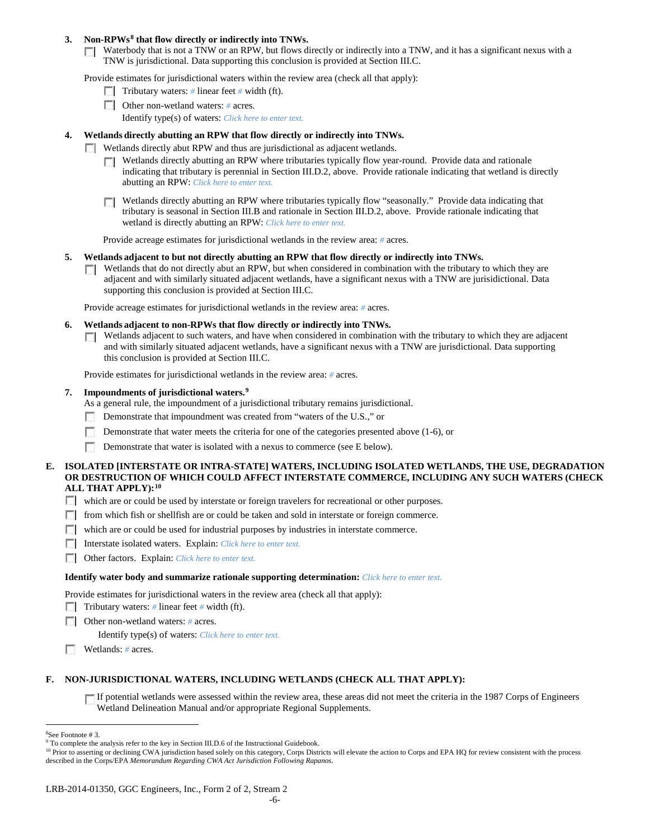### **3. Non-RPWs[8](#page-14-0) that flow directly or indirectly into TNWs.**

Waterbody that is not a TNW or an RPW, but flows directly or indirectly into a TNW, and it has a significant nexus with a TNW is jurisdictional. Data supporting this conclusion is provided at Section III.C.

Provide estimates for jurisdictional waters within the review area (check all that apply):

- **Tributary waters:** # linear feet # width (ft).
- Other non-wetland waters: # acres. Identify type(s) of waters: *Click here to enter text.*
- **4. Wetlands directly abutting an RPW that flow directly or indirectly into TNWs.**
	- **Wetlands directly abut RPW and thus are jurisdictional as adjacent wetlands.** 
		- $\Box$  Wetlands directly abutting an RPW where tributaries typically flow year-round. Provide data and rationale indicating that tributary is perennial in Section III.D.2, above. Provide rationale indicating that wetland is directly abutting an RPW: *Click here to enter text.*
		- Wetlands directly abutting an RPW where tributaries typically flow "seasonally." Provide data indicating that tributary is seasonal in Section III.B and rationale in Section III.D.2, above. Provide rationale indicating that wetland is directly abutting an RPW: *Click here to enter text.*

Provide acreage estimates for jurisdictional wetlands in the review area: *#* acres.

- **5. Wetlands adjacent to but not directly abutting an RPW that flow directly or indirectly into TNWs.**
	- $\Box$  Wetlands that do not directly abut an RPW, but when considered in combination with the tributary to which they are adjacent and with similarly situated adjacent wetlands, have a significant nexus with a TNW are jurisidictional. Data supporting this conclusion is provided at Section III.C.

Provide acreage estimates for jurisdictional wetlands in the review area: *#* acres.

- **6. Wetlands adjacent to non-RPWs that flow directly or indirectly into TNWs.** 
	- **Netlands adjacent to such waters, and have when considered in combination with the tributary to which they are adjacent** and with similarly situated adjacent wetlands, have a significant nexus with a TNW are jurisdictional. Data supporting this conclusion is provided at Section III.C.

Provide estimates for jurisdictional wetlands in the review area: *#* acres.

#### **7. Impoundments of jurisdictional waters. [9](#page-14-1)**

As a general rule, the impoundment of a jurisdictional tributary remains jurisdictional.

- Demonstrate that impoundment was created from "waters of the U.S.," or
- Demonstrate that water meets the criteria for one of the categories presented above (1-6), or
- п Demonstrate that water is isolated with a nexus to commerce (see E below).
- **E. ISOLATED [INTERSTATE OR INTRA-STATE] WATERS, INCLUDING ISOLATED WETLANDS, THE USE, DEGRADATION OR DESTRUCTION OF WHICH COULD AFFECT INTERSTATE COMMERCE, INCLUDING ANY SUCH WATERS (CHECK ALL THAT APPLY):[10](#page-14-2)**
	- which are or could be used by interstate or foreign travelers for recreational or other purposes.
	- from which fish or shellfish are or could be taken and sold in interstate or foreign commerce.
	- which are or could be used for industrial purposes by industries in interstate commerce.
	- Interstate isolated waters.Explain: *Click here to enter text.*
	- Other factors.Explain: *Click here to enter text.*

#### **Identify water body and summarize rationale supporting determination:** *Click here to enter text.*

Provide estimates for jurisdictional waters in the review area (check all that apply):

- Tributary waters: # linear feet # width (ft).
- Other non-wetland waters: *#* acres.

Identify type(s) of waters: *Click here to enter text.*

Wetlands: # acres.

### **F. NON-JURISDICTIONAL WATERS, INCLUDING WETLANDS (CHECK ALL THAT APPLY):**

If potential wetlands were assessed within the review area, these areas did not meet the criteria in the 1987 Corps of Engineers Wetland Delineation Manual and/or appropriate Regional Supplements.

<span id="page-14-2"></span><sup>10</sup> Prior to asserting or declining CWA jurisdiction based solely on this category, Corps Districts will elevate the action to Corps and EPA HQ for review consistent with the process described in the Corps/EPA *Memorandum Regarding CWA Act Jurisdiction Following Rapanos.*

 $\frac{1}{8}$ See Footnote # 3.

<span id="page-14-1"></span><span id="page-14-0"></span><sup>&</sup>lt;sup>9</sup> To complete the analysis refer to the key in Section III.D.6 of the Instructional Guidebook.